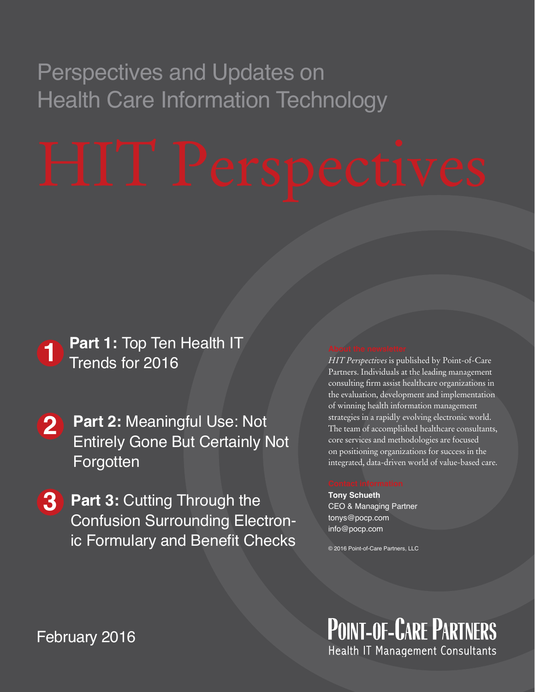## Perspectives and Updates on Health Care Information Technology

# Trends for 2016

- **2 Part 2:** Meaningful Use: Not **123**Entirely Gone But Certainly Not **Forgotten**
- **1** Frends for 2016<br> **2** Part 2: Meaningful Use: N<br>
Entirely Gone But Certain<br>
Forgotten<br> **3** Part 3: Cutting Through the Confusion Surrounding El<br>
ic Formulary and Benefit (<br>
February 2016 **3 Part 3:** Cutting Through the Confusion Surrounding Electronic Formulary and Benefit Checks

*HIT Perspectives* is published by Point-of-Care Partners. Individuals at the leading management consulting firm assist healthcare organizations in the evaluation, development and implementation of winning health information management strategies in a rapidly evolving electronic world. The team of accomplished healthcare consultants, core services and methodologies are focused on positioning organizations for success in the integrated, data-driven world of value-based care.

**Tony Schueth** CEO & Managing Partner tonys@pocp.com info@pocp.com

© 2016 Point-of-Care Partners, LLC

**POINT-OF-CARE PARTNERS** Health IT Management Consultants

February 2015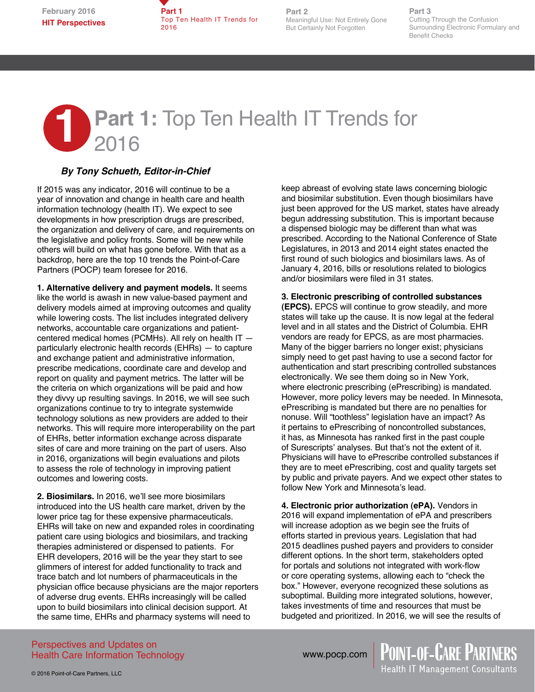**Part 1**  Top Ten Health IT Trends for 2016

**Part 2** Meaningful Use: Not Entirely Gone But Certainly Not Forgotten

**Part 3** Cutting Through the Confusion Surrounding Electronic Formulary and Benefit Checks

# **1** Part 1: Top Ten Health IT Trends for<br>2016 2016**Stakeholders Shine Spotlight on Improving the**

## *By Tony Schueth, Editor-in-Chief*

If 2015 was any indicator, 2016 will continue to be a year of innovation and change in health care and health information technology (health IT). We expect to see developments in how prescription drugs are prescribed, the organization and delivery of care, and requirements on the legislative and policy fronts. Some will be new while others will build on what has gone before. With that as a backdrop, here are the top 10 trends the Point-of-Care Partners (POCP) team foresee for 2016.

**1. Alternative delivery and payment models.** It seems like the world is awash in new value-based payment and delivery models aimed at improving outcomes and quality while lowering costs. The list includes integrated delivery networks, accountable care organizations and patientcentered medical homes (PCMHs). All rely on health IT particularly electronic health records (EHRs) — to capture and exchange patient and administrative information, prescribe medications, coordinate care and develop and report on quality and payment metrics. The latter will be the criteria on which organizations will be paid and how they divvy up resulting savings. In 2016, we will see such organizations continue to try to integrate systemwide technology solutions as new providers are added to their networks. This will require more interoperability on the part of EHRs, better information exchange across disparate sites of care and more training on the part of users. Also in 2016, organizations will begin evaluations and pilots to assess the role of technology in improving patient outcomes and lowering costs.

**2. Biosimilars.** In 2016, we'll see more biosimilars introduced into the US health care market, driven by the lower price tag for these expensive pharmaceuticals. EHRs will take on new and expanded roles in coordinating patient care using biologics and biosimilars, and tracking therapies administered or dispensed to patients. For EHR developers, 2016 will be the year they start to see glimmers of interest for added functionality to track and trace batch and lot numbers of pharmaceuticals in the physician office because physicians are the major reporters of adverse drug events. EHRs increasingly will be called upon to build biosimilars into clinical decision support. At the same time, EHRs and pharmacy systems will need to

keep abreast of evolving state laws concerning biologic and biosimilar substitution. Even though biosimilars have just been approved for the US market, states have already begun addressing substitution. This is important because a dispensed biologic may be different than what was prescribed. According to the National Conference of State Legislatures, in 2013 and 2014 eight states enacted the first round of such biologics and biosimilars laws. As of January 4, 2016, bills or resolutions related to biologics and/or biosimilars were filed in 31 states.

#### **3. Electronic prescribing of controlled substances**

**(EPCS).** EPCS will continue to grow steadily, and more states will take up the cause. It is now legal at the federal level and in all states and the District of Columbia. EHR vendors are ready for EPCS, as are most pharmacies. Many of the bigger barriers no longer exist; physicians simply need to get past having to use a second factor for authentication and start prescribing controlled substances electronically. We see them doing so in New York, where electronic prescribing (ePrescribing) is mandated. However, more policy levers may be needed. In Minnesota, ePrescribing is mandated but there are no penalties for nonuse. Will "toothless" legislation have an impact? As it pertains to ePrescribing of noncontrolled substances, it has, as Minnesota has ranked first in the past couple of Surescripts' analyses. But that's not the extent of it. Physicians will have to ePrescribe controlled substances if they are to meet ePrescribing, cost and quality targets set by public and private payers. And we expect other states to follow New York and Minnesota's lead.

**4. Electronic prior authorization (ePA).** Vendors in 2016 will expand implementation of ePA and prescribers will increase adoption as we begin see the fruits of efforts started in previous years. Legislation that had 2015 deadlines pushed payers and providers to consider different options. In the short term, stakeholders opted for portals and solutions not integrated with work-flow or core operating systems, allowing each to "check the box." However, everyone recognized these solutions as suboptimal. Building more integrated solutions, however, takes investments of time and resources that must be budgeted and prioritized. In 2016, we will see the results of

Perspectives and Updates on Health Care Information Technology

www.pocp.com

© 2016 Point-of-Care Partners, LLC

**POINT-OF-CARE PARTNERS**<br>Health IT Management Consultants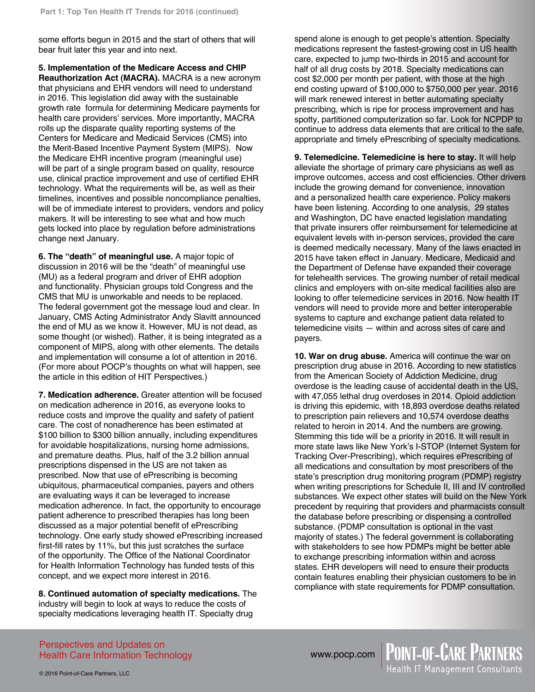some efforts begun in 2015 and the start of others that will bear fruit later this year and into next.

**5. Implementation of the Medicare Access and CHIP Reauthorization Act (MACRA).** MACRA is a new acronym that physicians and EHR vendors will need to understand in 2016. This legislation did away with the sustainable growth rate formula for determining Medicare payments for health care providers' services. More importantly, MACRA rolls up the disparate quality reporting systems of the Centers for Medicare and Medicaid Services (CMS) into the Merit-Based Incentive Payment System (MIPS). Now the Medicare EHR incentive program (meaningful use) will be part of a single program based on quality, resource use, clinical practice improvement and use of certified EHR technology. What the requirements will be, as well as their timelines, incentives and possible noncompliance penalties, will be of immediate interest to providers, vendors and policy makers. It will be interesting to see what and how much gets locked into place by regulation before administrations change next January.

**6. The "death" of meaningful use.** A major topic of discussion in 2016 will be the "death" of meaningful use (MU) as a federal program and driver of EHR adoption and functionality. Physician groups told Congress and the CMS that MU is unworkable and needs to be replaced. The federal government got the message loud and clear. In January, CMS Acting Administrator Andy Slavitt announced the end of MU as we know it. However, MU is not dead, as some thought (or wished). Rather, it is being integrated as a component of MIPS, along with other elements. The details and implementation will consume a lot of attention in 2016. (For more about POCP's thoughts on what will happen, see the article in this edition of HIT Perspectives.)

**7. Medication adherence.** Greater attention will be focused on medication adherence in 2016, as everyone looks to reduce costs and improve the quality and safety of patient care. The cost of nonadherence has been estimated at \$100 billion to \$300 billion annually, including expenditures for avoidable hospitalizations, nursing home admissions, and premature deaths. Plus, half of the 3.2 billion annual prescriptions dispensed in the US are not taken as prescribed. Now that use of ePrescribing is becoming ubiquitous, pharmaceutical companies, payers and others are evaluating ways it can be leveraged to increase medication adherence. In fact, the opportunity to encourage patient adherence to prescribed therapies has long been discussed as a major potential benefit of ePrescribing technology. One early study showed ePrescribing increased first-fill rates by 11%, but this just scratches the surface of the opportunity. The Office of the National Coordinator for Health Information Technology has funded tests of this concept, and we expect more interest in 2016.

**8. Continued automation of specialty medications.** The industry will begin to look at ways to reduce the costs of specialty medications leveraging health IT. Specialty drug

spend alone is enough to get people's attention. Specialty medications represent the fastest-growing cost in US health care, expected to jump two-thirds in 2015 and account for half of all drug costs by 2018. Specialty medications can cost \$2,000 per month per patient, with those at the high end costing upward of \$100,000 to \$750,000 per year. 2016 will mark renewed interest in better automating specialty prescribing, which is ripe for process improvement and has spotty, partitioned computerization so far. Look for NCPDP to continue to address data elements that are critical to the safe, appropriate and timely ePrescribing of specialty medications.

**9. Telemedicine. Telemedicine is here to stay.** It will help alleviate the shortage of primary care physicians as well as improve outcomes, access and cost efficiencies. Other drivers include the growing demand for convenience, innovation and a personalized health care experience. Policy makers have been listening. According to one analysis, 29 states and Washington, DC have enacted legislation mandating that private insurers offer reimbursement for telemedicine at equivalent levels with in-person services, provided the care is deemed medically necessary. Many of the laws enacted in 2015 have taken effect in January. Medicare, Medicaid and the Department of Defense have expanded their coverage for telehealth services. The growing number of retail medical clinics and employers with on-site medical facilities also are looking to offer telemedicine services in 2016. Now health IT vendors will need to provide more and better interoperable systems to capture and exchange patient data related to telemedicine visits — within and across sites of care and payers.

**10. War on drug abuse.** America will continue the war on prescription drug abuse in 2016. According to new statistics from the American Society of Addiction Medicine, drug overdose is the leading cause of accidental death in the US, with 47,055 lethal drug overdoses in 2014. Opioid addiction is driving this epidemic, with 18,893 overdose deaths related to prescription pain relievers and 10,574 overdose deaths related to heroin in 2014. And the numbers are growing. Stemming this tide will be a priority in 2016. It will result in more state laws like New York's I-STOP (Internet System for Tracking Over-Prescribing), which requires ePrescribing of all medications and consultation by most prescribers of the state's prescription drug monitoring program (PDMP) registry when writing prescriptions for Schedule II, III and IV controlled substances. We expect other states will build on the New York precedent by requiring that providers and pharmacists consult the database before prescribing or dispensing a controlled substance. (PDMP consultation is optional in the vast majority of states.) The federal government is collaborating with stakeholders to see how PDMPs might be better able to exchange prescribing information within and across states. EHR developers will need to ensure their products contain features enabling their physician customers to be in compliance with state requirements for PDMP consultation.

Perspectives and Updates on Health Care Information Technology

www.pocp.com | POINT-OF-CARE PARTNERS<br>Health IT Management Consultants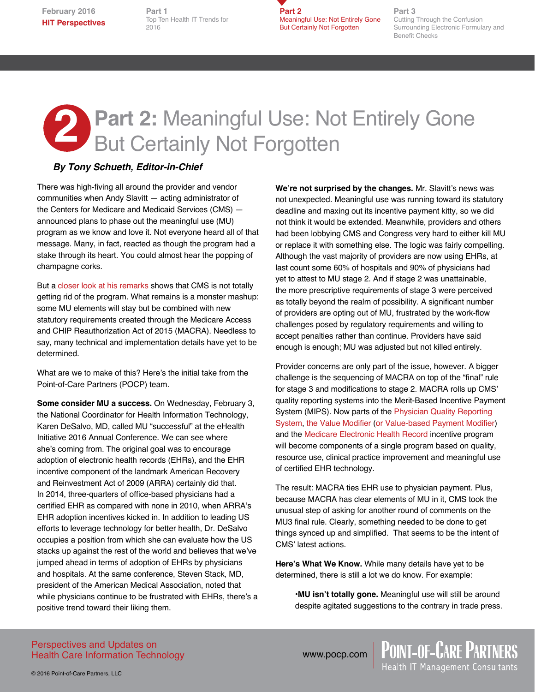**February 2016 HIT Perspectives** **Part 1** Top Ten Health IT Trends for 2016

**Part 2** Meaningful Use: Not Entirely Gone But Certainly Not Forgotten

**Part 3** Cutting Through the Confusion Surrounding Electronic Formulary and Benefit Checks

# **2 Part 2: Meaningful Use: Not Entirely Gone<br>But Certainly Not Forgotten** But Certainly Not Forgotten

#### *By Tony Schueth, Editor-in-Chief*

There was high-fiving all around the provider and vendor communities when Andy Slavitt — acting administrator of the Centers for Medicare and Medicaid Services (CMS) announced plans to phase out the meaningful use (MU) program as we know and love it. Not everyone heard all of that message. Many, in fact, reacted as though the program had a stake through its heart. You could almost hear the popping of champagne corks.

But a [closer look at his remarks](http://blog.cms.gov/2016/01/12/comments-of-cms-acting-administrator-andy-slavitt-at-the-j-p-morgan-annual-health-care-conference-jan-11-2016/) shows that CMS is not totally getting rid of the program. What remains is a monster mashup: some MU elements will stay but be combined with new statutory requirements created through the Medicare Access and CHIP Reauthorization Act of 2015 (MACRA). Needless to say, many technical and implementation details have yet to be determined.

What are we to make of this? Here's the initial take from the Point-of-Care Partners (POCP) team.

**Some consider MU a success.** On Wednesday, February 3, the National Coordinator for Health Information Technology, Karen DeSalvo, MD, called MU "successful" at the eHealth Initiative 2016 Annual Conference. We can see where she's coming from. The original goal was to encourage adoption of electronic health records (EHRs), and the EHR incentive component of the landmark American Recovery and Reinvestment Act of 2009 (ARRA) certainly did that. In 2014, three-quarters of office-based physicians had a certified EHR as compared with none in 2010, when ARRA's EHR adoption incentives kicked in. In addition to leading US efforts to leverage technology for better health, Dr. DeSalvo occupies a position from which she can evaluate how the US stacks up against the rest of the world and believes that we've jumped ahead in terms of adoption of EHRs by physicians and hospitals. At the same conference, Steven Stack, MD, president of the American Medical Association, noted that while physicians continue to be frustrated with EHRs, there's a positive trend toward their liking them.

**We're not surprised by the changes.** Mr. Slavitt's news was not unexpected. Meaningful use was running toward its statutory deadline and maxing out its incentive payment kitty, so we did not think it would be extended. Meanwhile, providers and others had been lobbying CMS and Congress very hard to either kill MU or replace it with something else. The logic was fairly compelling. Although the vast majority of providers are now using EHRs, at last count some 60% of hospitals and 90% of physicians had yet to attest to MU stage 2. And if stage 2 was unattainable, the more prescriptive requirements of stage 3 were perceived as totally beyond the realm of possibility. A significant number of providers are opting out of MU, frustrated by the work-flow challenges posed by regulatory requirements and willing to accept penalties rather than continue. Providers have said enough is enough; MU was adjusted but not killed entirely.

Provider concerns are only part of the issue, however. A bigger challenge is the sequencing of MACRA on top of the "final" rule for stage 3 and modifications to stage 2. MACRA rolls up CMS' quality reporting systems into the Merit-Based Incentive Payment System (MIPS). Now parts of the [Physician Quality Reporting](https://www.cms.gov/Medicare/Quality-Initiatives-Patient-Assessment-Instruments/PQRS/index.html?redirect=/pqri/)  [System,](https://www.cms.gov/Medicare/Quality-Initiatives-Patient-Assessment-Instruments/PQRS/index.html?redirect=/pqri/) [the Value Modifier](https://www.cms.gov/Medicare/Medicare-Fee-for-Service-Payment/PhysicianFeedbackProgram/ValueBasedPaymentModifier.html) ([or Value-based Payment Modifier](https://www.cms.gov/Medicare/Quality-Initiatives-Patient-Assessment-Instruments/Value-Based-Programs/VMP/Value-Modifier-VM-or-PVBM.html)) and the [Medicare Electronic Health Record](https://www.cms.gov/Regulations-and-Guidance/Legislation/EHRIncentivePrograms/index.html?redirect=/ehrincentiveprogramsincentiveprogram) incentive program will become components of a single program based on quality, resource use, clinical practice improvement and meaningful use of certified EHR technology.

The result: MACRA ties EHR use to physician payment. Plus, because MACRA has clear elements of MU in it, CMS took the unusual step of asking for another round of comments on the MU3 final rule. Clearly, something needed to be done to get things synced up and simplified. That seems to be the intent of CMS' latest actions.

**Here's What We Know.** While many details have yet to be determined, there is still a lot we do know. For example:

•**MU isn't totally gone.** Meaningful use will still be around despite agitated suggestions to the contrary in trade press.

Perspectives and Updates on Health Care Information Technology

© 2016 Point-of-Care Partners, LLC

www.pocp.com | POINT-OF-CARE PARTNERS<br>Health IT Management Consultants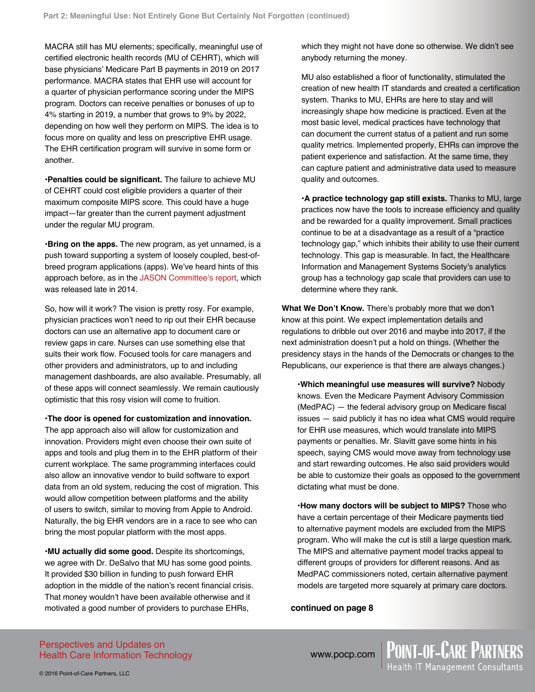MACRA still has MU elements; specifically, meaningful use of certified electronic health records (MU of CEHRT), which will base physicians' Medicare Part B payments in 2019 on 2017 performance. MACRA states that EHR use will account for a quarter of physician performance scoring under the MIPS program. Doctors can receive penalties or bonuses of up to 4% starting in 2019, a number that grows to 9% by 2022, depending on how well they perform on MIPS. The idea is to focus more on quality and less on prescriptive EHR usage. The EHR certification program will survive in some form or another.

•**Penalties could be significant.** The failure to achieve MU of CEHRT could cost eligible providers a quarter of their maximum composite MIPS score. This could have a huge impact—far greater than the current payment adjustment under the regular MU program.

•**Bring on the apps.** The new program, as yet unnamed, is a push toward supporting a system of loosely coupled, best-ofbreed program applications (apps). We've heard hints of this approach before, as in the [JASON Committee's report,](https://www.healthit.gov/sites/default/files/ptp13-700hhs_white.pdf) which was released late in 2014.

So, how will it work? The vision is pretty rosy. For example, physician practices won't need to rip out their EHR because doctors can use an alternative app to document care or review gaps in care. Nurses can use something else that suits their work flow. Focused tools for care managers and other providers and administrators, up to and including management dashboards, are also available. Presumably, all of these apps will connect seamlessly. We remain cautiously optimistic that this rosy vision will come to fruition.

•**The door is opened for customization and innovation.** The app approach also will allow for customization and innovation. Providers might even choose their own suite of apps and tools and plug them in to the EHR platform of their current workplace. The same programming interfaces could also allow an innovative vendor to build software to export data from an old system, reducing the cost of migration. This would allow competition between platforms and the ability of users to switch, similar to moving from Apple to Android. Naturally, the big EHR vendors are in a race to see who can bring the most popular platform with the most apps.

•**MU actually did some good.** Despite its shortcomings, we agree with Dr. DeSalvo that MU has some good points. It provided \$30 billion in funding to push forward EHR adoption in the middle of the nation's recent financial crisis. That money wouldn't have been available otherwise and it motivated a good number of providers to purchase EHRs,

which they might not have done so otherwise. We didn't see anybody returning the money.

MU also established a floor of functionality, stimulated the creation of new health IT standards and created a certification system. Thanks to MU, EHRs are here to stay and will increasingly shape how medicine is practiced. Even at the most basic level, medical practices have technology that can document the current status of a patient and run some quality metrics. Implemented properly, EHRs can improve the patient experience and satisfaction. At the same time, they can capture patient and administrative data used to measure quality and outcomes.

•**A practice technology gap still exists.** Thanks to MU, large practices now have the tools to increase efficiency and quality and be rewarded for a quality improvement. Small practices continue to be at a disadvantage as a result of a "practice technology gap," which inhibits their ability to use their current technology. This gap is measurable. In fact, the Healthcare Information and Management Systems Society's analytics group has a technology gap scale that providers can use to determine where they rank.

**What We Don't Know.** There's probably more that we don't know at this point. We expect implementation details and regulations to dribble out over 2016 and maybe into 2017, if the next administration doesn't put a hold on things. (Whether the presidency stays in the hands of the Democrats or changes to the Republicans, our experience is that there are always changes.)

•**Which meaningful use measures will survive?** Nobody knows. Even the Medicare Payment Advisory Commission (MedPAC) — the federal advisory group on Medicare fiscal issues — said publicly it has no idea what CMS would require for EHR use measures, which would translate into MIPS payments or penalties. Mr. Slavitt gave some hints in his speech, saying CMS would move away from technology use and start rewarding outcomes. He also said providers would be able to customize their goals as opposed to the government dictating what must be done.

•**How many doctors will be subject to MIPS?** Those who have a certain percentage of their Medicare payments tied to alternative payment models are excluded from the MIPS program. Who will make the cut is still a large question mark. The MIPS and alternative payment model tracks appeal to different groups of providers for different reasons. And as MedPAC commissioners noted, certain alternative payment models are targeted more squarely at primary care doctors.

**continued on page 8**

Perspectives and Updates on Health Care Information Technology

www.pocp.com | POINT-OF-CARE PARTNERS<br>Health IT Management Consultants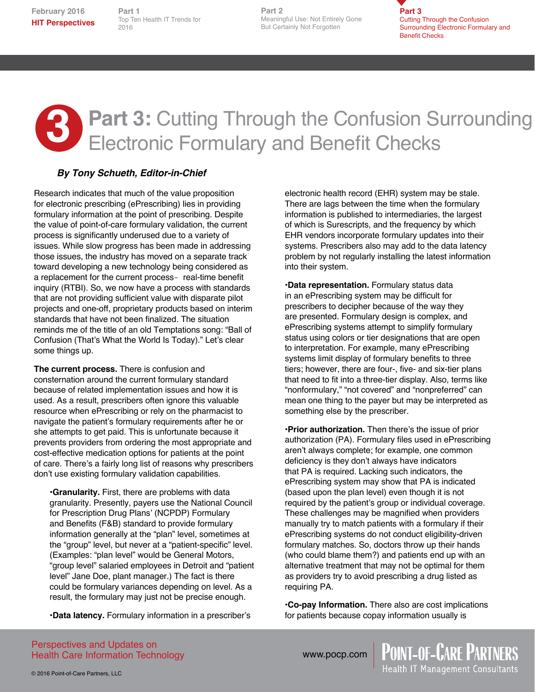**February 2016 HIT Perspectives**

Top Ten Health IT Trends for Top Ten Health IT Trends for **Part 1** 2016

**Part 2 Part 2** Meaningful Use: Not Entirely Gone But Certainly Not Forgotten

**Part 3** Cutting Through the Confusion Surrounding Electronic Formulary and Benefit Checks

## **3** Part 3: Cutting Through the Confusion Surrounding Electronic Formulary and Benefit Checks

### *By Tony Schueth, Editor-in-Chief*

Research indicates that much of the value proposition for electronic prescribing (ePrescribing) lies in providing formulary information at the point of prescribing. Despite the value of point-of-care formulary validation, the current process is significantly underused due to a variety of issues. While slow progress has been made in addressing those issues, the industry has moved on a separate track toward developing a new technology being considered as a replacement for the current process- real-time benefit inquiry (RTBI). So, we now have a process with standards that are not providing sufficient value with disparate pilot projects and one-off, proprietary products based on interim standards that have not been finalized. The situation reminds me of the title of an old Temptations song: "Ball of Confusion (That's What the World Is Today)." Let's clear some things up.

**The current process.** There is confusion and consternation around the current formulary standard because of related implementation issues and how it is used. As a result, prescribers often ignore this valuable resource when ePrescribing or rely on the pharmacist to navigate the patient's formulary requirements after he or she attempts to get paid. This is unfortunate because it prevents providers from ordering the most appropriate and cost-effective medication options for patients at the point of care. There's a fairly long list of reasons why prescribers don't use existing formulary validation capabilities.

•**Granularity.** First, there are problems with data granularity. Presently, payers use the National Council for Prescription Drug Plans' (NCPDP) Formulary and Benefits (F&B) standard to provide formulary information generally at the "plan" level, sometimes at the "group" level, but never at a "patient-specific" level. (Examples: "plan level" would be General Motors, "group level" salaried employees in Detroit and "patient level" Jane Doe, plant manager.) The fact is there could be formulary variances depending on level. As a result, the formulary may just not be precise enough.

•**Data latency.** Formulary information in a prescriber's

electronic health record (EHR) system may be stale. There are lags between the time when the formulary information is published to intermediaries, the largest of which is Surescripts, and the frequency by which EHR vendors incorporate formulary updates into their systems. Prescribers also may add to the data latency problem by not regularly installing the latest information into their system.

•**Data representation.** Formulary status data in an ePrescribing system may be difficult for prescribers to decipher because of the way they are presented. Formulary design is complex, and ePrescribing systems attempt to simplify formulary status using colors or tier designations that are open to interpretation. For example, many ePrescribing systems limit display of formulary benefits to three tiers; however, there are four-, five- and six-tier plans that need to fit into a three-tier display. Also, terms like "nonformulary," "not covered" and "nonpreferred" can mean one thing to the payer but may be interpreted as something else by the prescriber.

•**Prior authorization.** Then there's the issue of prior authorization (PA). Formulary files used in ePrescribing aren't always complete; for example, one common deficiency is they don't always have indicators that PA is required. Lacking such indicators, the ePrescribing system may show that PA is indicated (based upon the plan level) even though it is not required by the patient's group or individual coverage. These challenges may be magnified when providers manually try to match patients with a formulary if their ePrescribing systems do not conduct eligibility-driven formulary matches. So, doctors throw up their hands (who could blame them?) and patients end up with an alternative treatment that may not be optimal for them as providers try to avoid prescribing a drug listed as requiring PA.

•**Co-pay Information.** There also are cost implications for patients because copay information usually is

**POINT-OF-CARE PARTNERS**<br>Health IT Management Consultants

Perspectives and Updates on Health Care Information Technology

www.pocp.com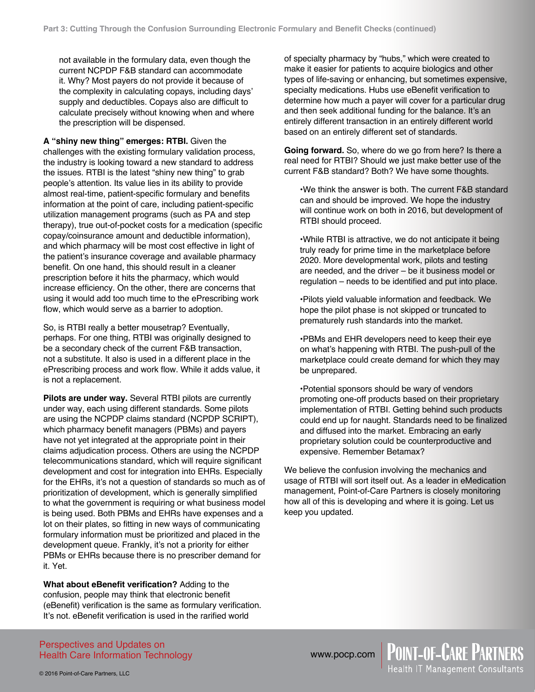not available in the formulary data, even though the current NCPDP F&B standard can accommodate it. Why? Most payers do not provide it because of the complexity in calculating copays, including days' supply and deductibles. Copays also are difficult to calculate precisely without knowing when and where the prescription will be dispensed.

**A "shiny new thing" emerges: RTBI.** Given the challenges with the existing formulary validation process, the industry is looking toward a new standard to address the issues. RTBI is the latest "shiny new thing" to grab people's attention. Its value lies in its ability to provide almost real-time, patient-specific formulary and benefits information at the point of care, including patient-specific utilization management programs (such as PA and step therapy), true out-of-pocket costs for a medication (specific copay/coinsurance amount and deductible information), and which pharmacy will be most cost effective in light of the patient's insurance coverage and available pharmacy benefit. On one hand, this should result in a cleaner prescription before it hits the pharmacy, which would increase efficiency. On the other, there are concerns that using it would add too much time to the ePrescribing work flow, which would serve as a barrier to adoption.

So, is RTBI really a better mousetrap? Eventually, perhaps. For one thing, RTBI was originally designed to be a secondary check of the current F&B transaction, not a substitute. It also is used in a different place in the ePrescribing process and work flow. While it adds value, it is not a replacement.

**Pilots are under way.** Several RTBI pilots are currently under way, each using different standards. Some pilots are using the NCPDP claims standard (NCPDP SCRIPT), which pharmacy benefit managers (PBMs) and payers have not yet integrated at the appropriate point in their claims adjudication process. Others are using the NCPDP telecommunications standard, which will require significant development and cost for integration into EHRs. Especially for the EHRs, it's not a question of standards so much as of prioritization of development, which is generally simplified to what the government is requiring or what business model is being used. Both PBMs and EHRs have expenses and a lot on their plates, so fitting in new ways of communicating formulary information must be prioritized and placed in the development queue. Frankly, it's not a priority for either PBMs or EHRs because there is no prescriber demand for it. Yet.

**What about eBenefit verification?** Adding to the confusion, people may think that electronic benefit (eBenefit) verification is the same as formulary verification. It's not. eBenefit verification is used in the rarified world

of specialty pharmacy by "hubs," which were created to make it easier for patients to acquire biologics and other types of life-saving or enhancing, but sometimes expensive, specialty medications. Hubs use eBenefit verification to determine how much a payer will cover for a particular drug and then seek additional funding for the balance. It's an entirely different transaction in an entirely different world based on an entirely different set of standards.

**Going forward.** So, where do we go from here? Is there a real need for RTBI? Should we just make better use of the current F&B standard? Both? We have some thoughts.

•We think the answer is both. The current F&B standard can and should be improved. We hope the industry will continue work on both in 2016, but development of RTBI should proceed.

•While RTBI is attractive, we do not anticipate it being truly ready for prime time in the marketplace before 2020. More developmental work, pilots and testing are needed, and the driver – be it business model or regulation – needs to be identified and put into place.

•Pilots yield valuable information and feedback. We hope the pilot phase is not skipped or truncated to prematurely rush standards into the market.

•PBMs and EHR developers need to keep their eye on what's happening with RTBI. The push-pull of the marketplace could create demand for which they may be unprepared.

•Potential sponsors should be wary of vendors promoting one-off products based on their proprietary implementation of RTBI. Getting behind such products could end up for naught. Standards need to be finalized and diffused into the market. Embracing an early proprietary solution could be counterproductive and expensive. Remember Betamax?

We believe the confusion involving the mechanics and usage of RTBI will sort itself out. As a leader in eMedication management, Point-of-Care Partners is closely monitoring how all of this is developing and where it is going. Let us keep you updated.

Perspectives and Updates on Health Care Information Technology



www.pocp.com | POINT-OF-CARE PARTNERS